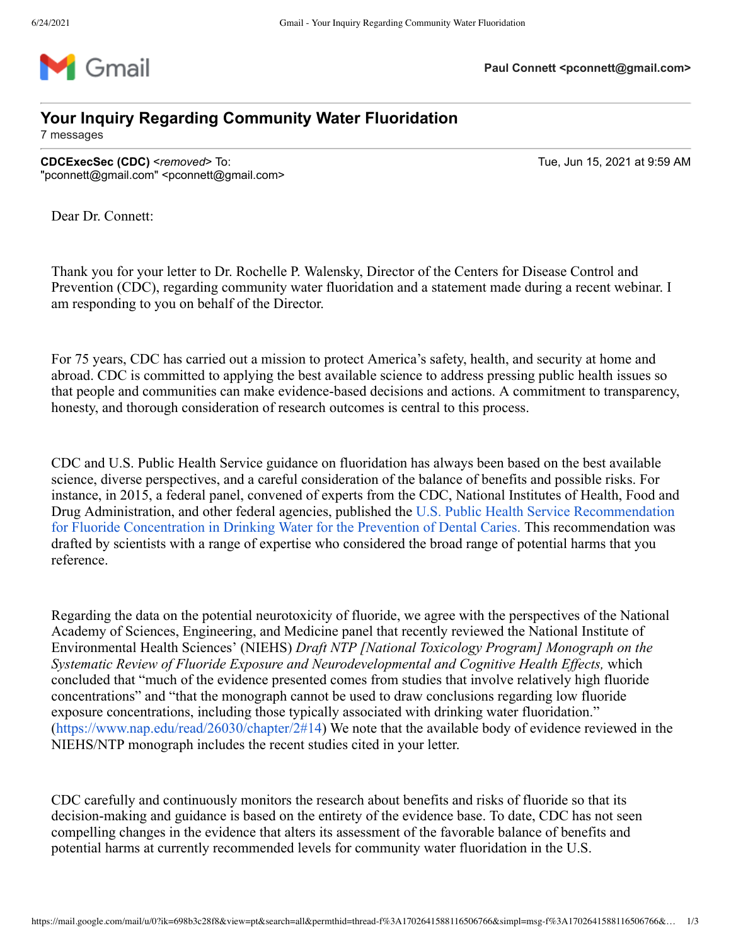

## **Your Inquiry Regarding Community Water Fluoridation**

7 messages

**CDCExecSec (CDC)** <*removed*> To: Tue, Jun 15, 2021 at 9:59 AM "pconnett@gmail.com" <pconnett@gmail.com>

Dear Dr. Connett:

Thank you for your letter to Dr. Rochelle P. Walensky, Director of the Centers for Disease Control and Prevention (CDC), regarding community water fluoridation and a statement made during a recent webinar. I am responding to you on behalf of the Director.

For 75 years, CDC has carried out a mission to protect America's safety, health, and security at home and abroad. CDC is committed to applying the best available science to address pressing public health issues so that people and communities can make evidence-based decisions and actions. A commitment to transparency, honesty, and thorough consideration of research outcomes is central to this process.

CDC and U.S. Public Health Service guidance on fluoridation has always been based on the best available science, diverse perspectives, and a careful consideration of the balance of benefits and possible risks. For instance, in 2015, a federal panel, convened of experts from the CDC, National Institutes of Health, Food and Drug Administration, and other federal agencies, published the U.S. Public Health Service Recommendation [for Fluoride Concentration in Drinking Water for the Prevention](https://www.ncbi.nlm.nih.gov/pmc/articles/PMC4547570/?report=classic) of Dental Caries. This recommendation was drafted by scientists with a range of expertise who considered the broad range of potential harms that you reference.

Regarding the data on the potential neurotoxicity of fluoride, we agree with the perspectives of the National Academy of Sciences, Engineering, and Medicine panel that recently reviewed the National Institute of Environmental Health Sciences' (NIEHS) *Draft NTP [National Toxicology Program] Monograph on the Systematic Review of Fluoride Exposure and Neurodevelopmental and Cognitive Health Effects,* which concluded that "much of the evidence presented comes from studies that involve relatively high fluoride concentrations" and "that the monograph cannot be used to draw conclusions regarding low fluoride exposure concentrations, including those typically associated with drinking water fluoridation." [\(https://www.nap.edu/read/26030/chapter/2#14\)](https://www.nap.edu/read/26030/chapter/2#14) We note that the available body of evidence reviewed in the NIEHS/NTP monograph includes the recent studies cited in your letter.

CDC carefully and continuously monitors the research about benefits and risks of fluoride so that its decision-making and guidance is based on the entirety of the evidence base. To date, CDC has not seen compelling changes in the evidence that alters its assessment of the favorable balance of benefits and potential harms at currently recommended levels for community water fluoridation in the U.S.